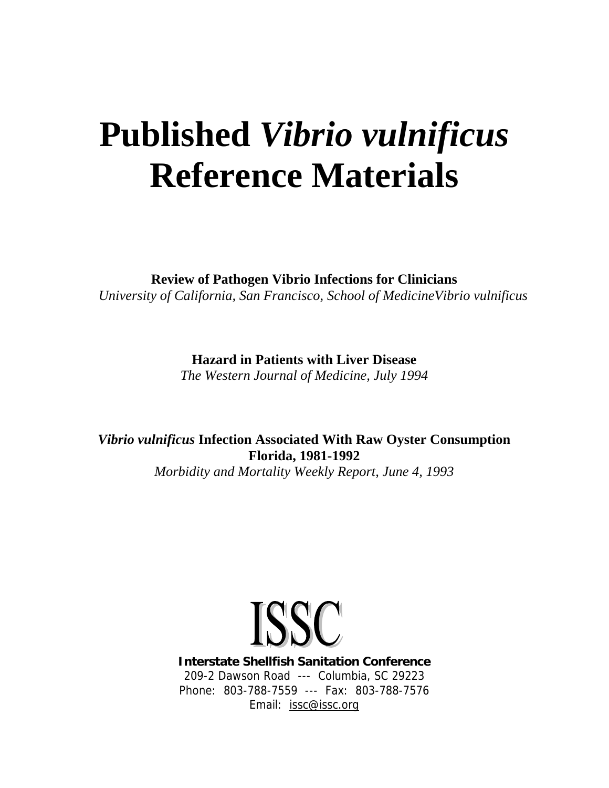# **Published** *Vibrio vulnificus* **Reference Materials**

**Review of Pathogen Vibrio Infections for Clinicians** 

*University of California, San Francisco, School of MedicineVibrio vulnificus* 

**Hazard in Patients with Liver Disease** 

*The Western Journal of Medicine, July 1994* 

*Vibrio vulnificus* **Infection Associated With Raw Oyster Consumption Florida, 1981-1992** 

*Morbidity and Mortality Weekly Report, June 4, 1993*

# **ISSC**

**Interstate Shellfish Sanitation Conference**  209-2 Dawson Road --- Columbia, SC 29223 Phone: 803-788-7559 --- Fax: 803-788-7576 Email: issc@issc.org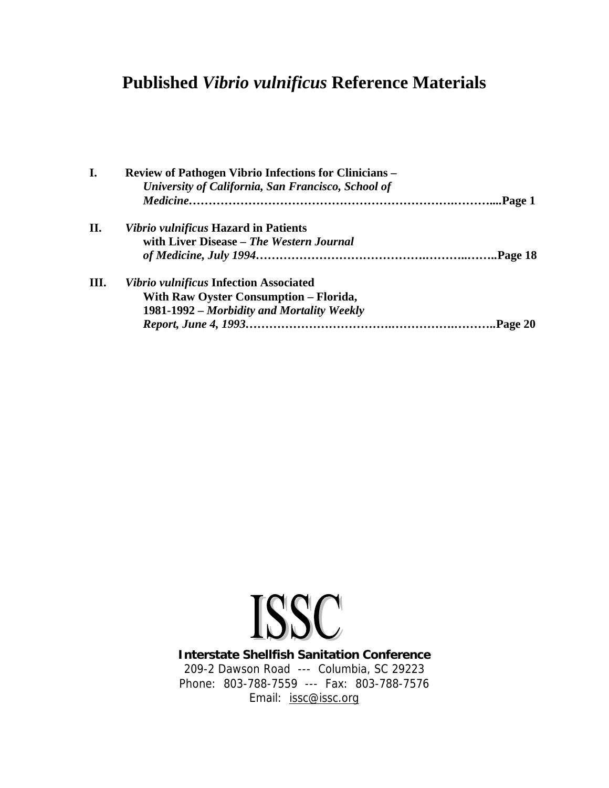# **Published** *Vibrio vulnificus* **Reference Materials**

| I.   | <b>Review of Pathogen Vibrio Infections for Clinicians –</b> |  |  |
|------|--------------------------------------------------------------|--|--|
|      | University of California, San Francisco, School of           |  |  |
|      |                                                              |  |  |
| П.   | <i>Vibrio vulnificus</i> Hazard in Patients                  |  |  |
|      | with Liver Disease – The Western Journal                     |  |  |
|      |                                                              |  |  |
| III. | <b>Vibrio vulnificus Infection Associated</b>                |  |  |
|      | <b>With Raw Oyster Consumption - Florida,</b>                |  |  |
|      | 1981-1992 – Morbidity and Mortality Weekly                   |  |  |
|      |                                                              |  |  |



#### **Interstate Shellfish Sanitation Conference**  209-2 Dawson Road --- Columbia, SC 29223

Phone: 803-788-7559 --- Fax: 803-788-7576 Email: issc@issc.org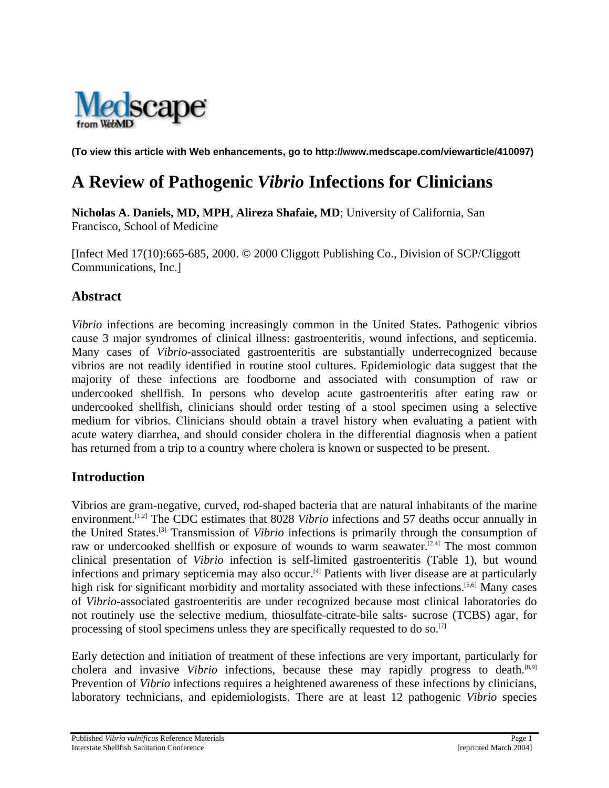

**(To view this article with Web enhancements, go to http://www.medscape.com/viewarticle/410097)**

# **A Review of Pathogenic** *Vibrio* **Infections for Clinicians**

**Nicholas A. Daniels, MD, MPH**, **Alireza Shafaie, MD**; University of California, San Francisco, School of Medicine

[Infect Med 17(10):665-685, 2000. © 2000 Cliggott Publishing Co., Division of SCP/Cliggott Communications, Inc.]

#### **Abstract**

*Vibrio* infections are becoming increasingly common in the United States. Pathogenic vibrios cause 3 major syndromes of clinical illness: gastroenteritis, wound infections, and septicemia. Many cases of *Vibrio*-associated gastroenteritis are substantially underrecognized because vibrios are not readily identified in routine stool cultures. Epidemiologic data suggest that the majority of these infections are foodborne and associated with consumption of raw or undercooked shellfish. In persons who develop acute gastroenteritis after eating raw or undercooked shellfish, clinicians should order testing of a stool specimen using a selective medium for vibrios. Clinicians should obtain a travel history when evaluating a patient with acute watery diarrhea, and should consider cholera in the differential diagnosis when a patient has returned from a trip to a country where cholera is known or suspected to be present.

#### **Introduction**

Vibrios are gram-negative, curved, rod-shaped bacteria that are natural inhabitants of the marine environment.[1,2] The CDC estimates that 8028 *Vibrio* infections and 57 deaths occur annually in the United States.[3] Transmission of *Vibrio* infections is primarily through the consumption of raw or undercooked shellfish or exposure of wounds to warm seawater.<sup>[2,4]</sup> The most common clinical presentation of *Vibrio* infection is self-limited gastroenteritis (Table 1), but wound infections and primary septicemia may also occur.<sup>[4]</sup> Patients with liver disease are at particularly high risk for significant morbidity and mortality associated with these infections.<sup>[5,6]</sup> Many cases of *Vibrio*-associated gastroenteritis are under recognized because most clinical laboratories do not routinely use the selective medium, thiosulfate-citrate-bile salts- sucrose (TCBS) agar, for processing of stool specimens unless they are specifically requested to do so.<sup>[7]</sup>

Early detection and initiation of treatment of these infections are very important, particularly for cholera and invasive *Vibrio* infections, because these may rapidly progress to death.<sup>[8,9]</sup> Prevention of *Vibrio* infections requires a heightened awareness of these infections by clinicians, laboratory technicians, and epidemiologists. There are at least 12 pathogenic *Vibrio* species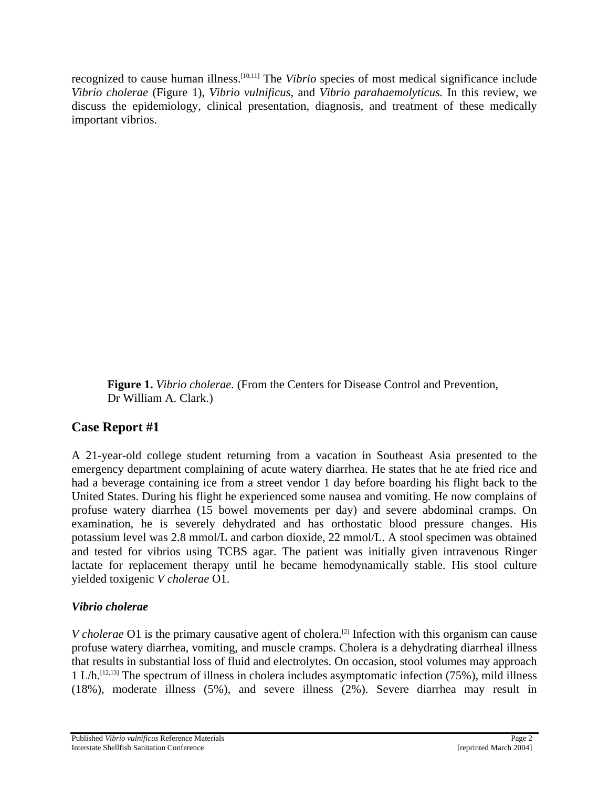recognized to cause human illness.[10,11] The *Vibrio* species of most medical significance include *Vibrio cholerae* (Figure 1), *Vibrio vulnificus,* and *Vibrio parahaemolyticus.* In this review, we discuss the epidemiology, clinical presentation, diagnosis, and treatment of these medically important vibrios.

**Figure 1.** *Vibrio cholerae.* (From the Centers for Disease Control and Prevention, Dr William A. Clark.)

#### **Case Report #1**

A 21-year-old college student returning from a vacation in Southeast Asia presented to the emergency department complaining of acute watery diarrhea. He states that he ate fried rice and had a beverage containing ice from a street vendor 1 day before boarding his flight back to the United States. During his flight he experienced some nausea and vomiting. He now complains of profuse watery diarrhea (15 bowel movements per day) and severe abdominal cramps. On examination, he is severely dehydrated and has orthostatic blood pressure changes. His potassium level was 2.8 mmol/L and carbon dioxide, 22 mmol/L. A stool specimen was obtained and tested for vibrios using TCBS agar. The patient was initially given intravenous Ringer lactate for replacement therapy until he became hemodynamically stable. His stool culture yielded toxigenic *V cholerae* O1.

#### *Vibrio cholerae*

*V* cholerae O1 is the primary causative agent of cholera.<sup>[2]</sup> Infection with this organism can cause profuse watery diarrhea, vomiting, and muscle cramps. Cholera is a dehydrating diarrheal illness that results in substantial loss of fluid and electrolytes. On occasion, stool volumes may approach 1 L/h.[12,13] The spectrum of illness in cholera includes asymptomatic infection (75%), mild illness (18%), moderate illness (5%), and severe illness (2%). Severe diarrhea may result in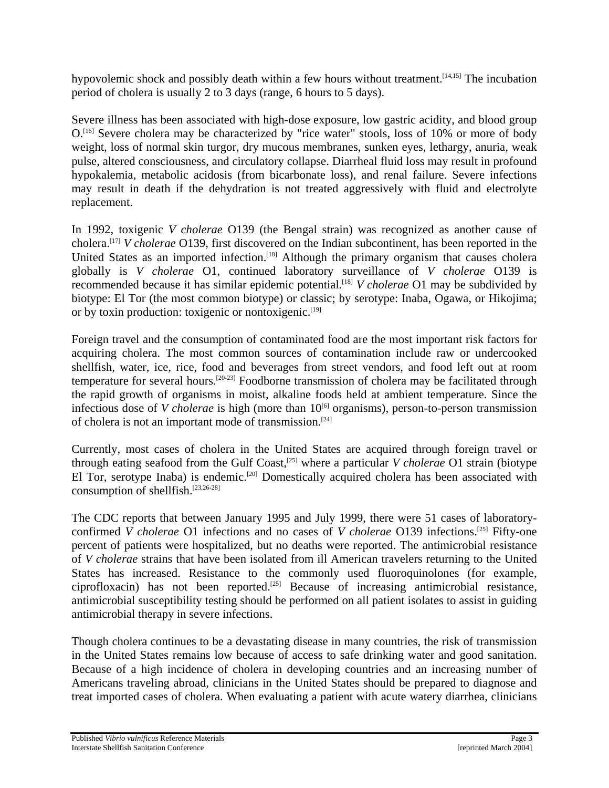hypovolemic shock and possibly death within a few hours without treatment.<sup>[14,15]</sup> The incubation period of cholera is usually 2 to 3 days (range, 6 hours to 5 days).

Severe illness has been associated with high-dose exposure, low gastric acidity, and blood group  $O<sup>[16]</sup>$  Severe cholera may be characterized by "rice water" stools, loss of 10% or more of body weight, loss of normal skin turgor, dry mucous membranes, sunken eyes, lethargy, anuria, weak pulse, altered consciousness, and circulatory collapse. Diarrheal fluid loss may result in profound hypokalemia, metabolic acidosis (from bicarbonate loss), and renal failure. Severe infections may result in death if the dehydration is not treated aggressively with fluid and electrolyte replacement.

In 1992, toxigenic *V cholerae* O139 (the Bengal strain) was recognized as another cause of cholera.[17] *V cholerae* O139, first discovered on the Indian subcontinent, has been reported in the United States as an imported infection.<sup>[18]</sup> Although the primary organism that causes cholera globally is *V cholerae* O1, continued laboratory surveillance of *V cholerae* O139 is recommended because it has similar epidemic potential.[18] *V cholerae* O1 may be subdivided by biotype: El Tor (the most common biotype) or classic; by serotype: Inaba, Ogawa, or Hikojima; or by toxin production: toxigenic or nontoxigenic.<sup>[19]</sup>

Foreign travel and the consumption of contaminated food are the most important risk factors for acquiring cholera. The most common sources of contamination include raw or undercooked shellfish, water, ice, rice, food and beverages from street vendors, and food left out at room temperature for several hours.[20-23] Foodborne transmission of cholera may be facilitated through the rapid growth of organisms in moist, alkaline foods held at ambient temperature. Since the infectious dose of *V cholerae* is high (more than  $10^{6}$  organisms), person-to-person transmission of cholera is not an important mode of transmission.[24]

Currently, most cases of cholera in the United States are acquired through foreign travel or through eating seafood from the Gulf Coast,<sup>[25]</sup> where a particular *V cholerae* O1 strain (biotype El Tor, serotype Inaba) is endemic.<sup>[20]</sup> Domestically acquired cholera has been associated with consumption of shellfish.[23,26-28]

The CDC reports that between January 1995 and July 1999, there were 51 cases of laboratoryconfirmed *V cholerae* O1 infections and no cases of *V cholerae* O139 infections.[25] Fifty-one percent of patients were hospitalized, but no deaths were reported. The antimicrobial resistance of *V cholerae* strains that have been isolated from ill American travelers returning to the United States has increased. Resistance to the commonly used fluoroquinolones (for example, ciprofloxacin) has not been reported.[25] Because of increasing antimicrobial resistance, antimicrobial susceptibility testing should be performed on all patient isolates to assist in guiding antimicrobial therapy in severe infections.

Though cholera continues to be a devastating disease in many countries, the risk of transmission in the United States remains low because of access to safe drinking water and good sanitation. Because of a high incidence of cholera in developing countries and an increasing number of Americans traveling abroad, clinicians in the United States should be prepared to diagnose and treat imported cases of cholera. When evaluating a patient with acute watery diarrhea, clinicians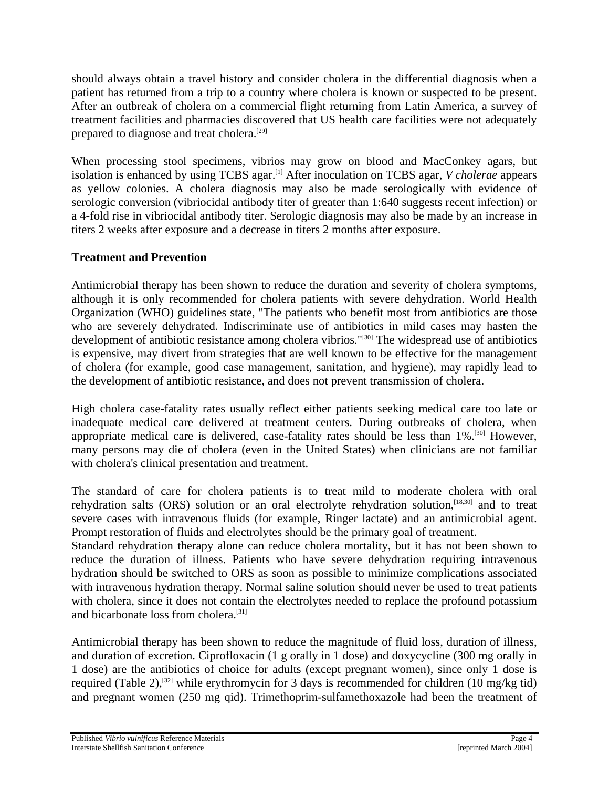should always obtain a travel history and consider cholera in the differential diagnosis when a patient has returned from a trip to a country where cholera is known or suspected to be present. After an outbreak of cholera on a commercial flight returning from Latin America, a survey of treatment facilities and pharmacies discovered that US health care facilities were not adequately prepared to diagnose and treat cholera.<sup>[29]</sup>

When processing stool specimens, vibrios may grow on blood and MacConkey agars, but isolation is enhanced by using TCBS agar.[1] After inoculation on TCBS agar, *V cholerae* appears as yellow colonies. A cholera diagnosis may also be made serologically with evidence of serologic conversion (vibriocidal antibody titer of greater than 1:640 suggests recent infection) or a 4-fold rise in vibriocidal antibody titer. Serologic diagnosis may also be made by an increase in titers 2 weeks after exposure and a decrease in titers 2 months after exposure.

#### **Treatment and Prevention**

Antimicrobial therapy has been shown to reduce the duration and severity of cholera symptoms, although it is only recommended for cholera patients with severe dehydration. World Health Organization (WHO) guidelines state, "The patients who benefit most from antibiotics are those who are severely dehydrated. Indiscriminate use of antibiotics in mild cases may hasten the development of antibiotic resistance among cholera vibrios.<sup>"[30]</sup> The widespread use of antibiotics is expensive, may divert from strategies that are well known to be effective for the management of cholera (for example, good case management, sanitation, and hygiene), may rapidly lead to the development of antibiotic resistance, and does not prevent transmission of cholera.

High cholera case-fatality rates usually reflect either patients seeking medical care too late or inadequate medical care delivered at treatment centers. During outbreaks of cholera, when appropriate medical care is delivered, case-fatality rates should be less than 1%.<sup>[30]</sup> However, many persons may die of cholera (even in the United States) when clinicians are not familiar with cholera's clinical presentation and treatment.

The standard of care for cholera patients is to treat mild to moderate cholera with oral rehydration salts (ORS) solution or an oral electrolyte rehydration solution,<sup>[18,30]</sup> and to treat severe cases with intravenous fluids (for example, Ringer lactate) and an antimicrobial agent. Prompt restoration of fluids and electrolytes should be the primary goal of treatment.

Standard rehydration therapy alone can reduce cholera mortality, but it has not been shown to reduce the duration of illness. Patients who have severe dehydration requiring intravenous hydration should be switched to ORS as soon as possible to minimize complications associated with intravenous hydration therapy. Normal saline solution should never be used to treat patients with cholera, since it does not contain the electrolytes needed to replace the profound potassium and bicarbonate loss from cholera.[31]

Antimicrobial therapy has been shown to reduce the magnitude of fluid loss, duration of illness, and duration of excretion. Ciprofloxacin (1 g orally in 1 dose) and doxycycline (300 mg orally in 1 dose) are the antibiotics of choice for adults (except pregnant women), since only 1 dose is required (Table 2),<sup>[32]</sup> while erythromycin for 3 days is recommended for children (10 mg/kg tid) and pregnant women (250 mg qid). Trimethoprim-sulfamethoxazole had been the treatment of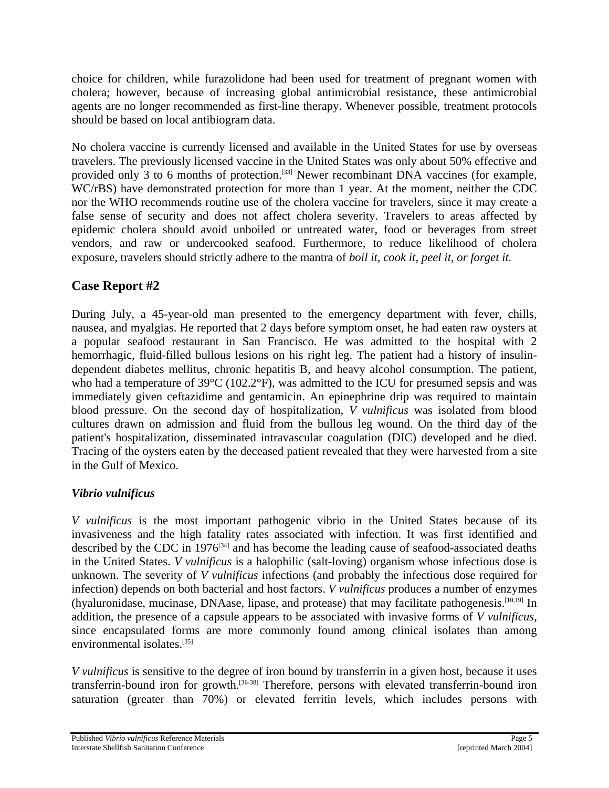choice for children, while furazolidone had been used for treatment of pregnant women with cholera; however, because of increasing global antimicrobial resistance, these antimicrobial agents are no longer recommended as first-line therapy. Whenever possible, treatment protocols should be based on local antibiogram data.

No cholera vaccine is currently licensed and available in the United States for use by overseas travelers. The previously licensed vaccine in the United States was only about 50% effective and provided only 3 to 6 months of protection.<sup>[33]</sup> Newer recombinant DNA vaccines (for example, WC/rBS) have demonstrated protection for more than 1 year. At the moment, neither the CDC nor the WHO recommends routine use of the cholera vaccine for travelers, since it may create a false sense of security and does not affect cholera severity. Travelers to areas affected by epidemic cholera should avoid unboiled or untreated water, food or beverages from street vendors, and raw or undercooked seafood. Furthermore, to reduce likelihood of cholera exposure, travelers should strictly adhere to the mantra of *boil it, cook it, peel it, or forget it.*

#### **Case Report #2**

During July, a 45-year-old man presented to the emergency department with fever, chills, nausea, and myalgias. He reported that 2 days before symptom onset, he had eaten raw oysters at a popular seafood restaurant in San Francisco. He was admitted to the hospital with 2 hemorrhagic, fluid-filled bullous lesions on his right leg. The patient had a history of insulindependent diabetes mellitus, chronic hepatitis B, and heavy alcohol consumption. The patient, who had a temperature of 39<sup>o</sup>C (102.2<sup>o</sup>F), was admitted to the ICU for presumed sepsis and was immediately given ceftazidime and gentamicin. An epinephrine drip was required to maintain blood pressure. On the second day of hospitalization, *V vulnificus* was isolated from blood cultures drawn on admission and fluid from the bullous leg wound. On the third day of the patient's hospitalization, disseminated intravascular coagulation (DIC) developed and he died. Tracing of the oysters eaten by the deceased patient revealed that they were harvested from a site in the Gulf of Mexico.

#### *Vibrio vulnificus*

*V vulnificus* is the most important pathogenic vibrio in the United States because of its invasiveness and the high fatality rates associated with infection. It was first identified and described by the CDC in  $1976^{[34]}$  and has become the leading cause of seafood-associated deaths in the United States. *V vulnificus* is a halophilic (salt-loving) organism whose infectious dose is unknown. The severity of *V vulnificus* infections (and probably the infectious dose required for infection) depends on both bacterial and host factors. *V vulnificus* produces a number of enzymes (hyaluronidase, mucinase, DNAase, lipase, and protease) that may facilitate pathogenesis.[10,19] In addition, the presence of a capsule appears to be associated with invasive forms of *V vulnificus,* since encapsulated forms are more commonly found among clinical isolates than among environmental isolates.[35]

*V vulnificus* is sensitive to the degree of iron bound by transferrin in a given host, because it uses transferrin-bound iron for growth.[36-38] Therefore, persons with elevated transferrin-bound iron saturation (greater than 70%) or elevated ferritin levels, which includes persons with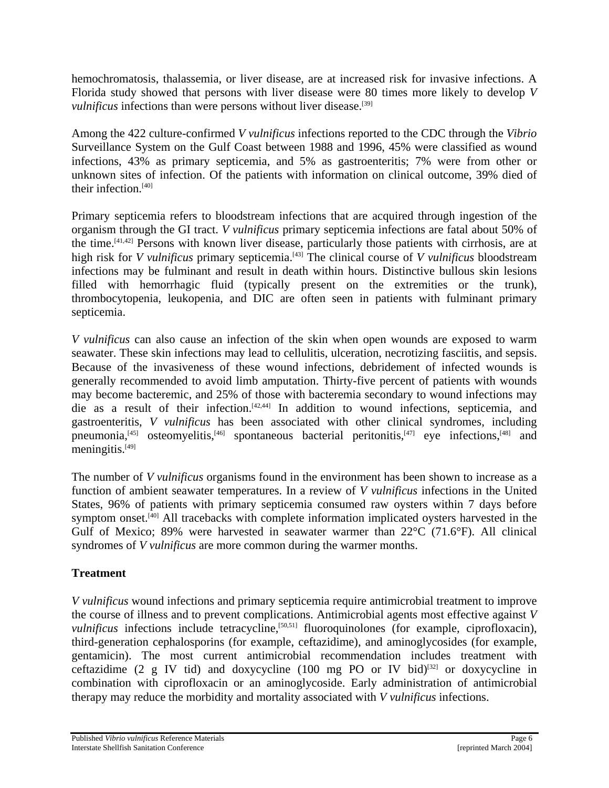hemochromatosis, thalassemia, or liver disease, are at increased risk for invasive infections. A Florida study showed that persons with liver disease were 80 times more likely to develop *V vulnificus* infections than were persons without liver disease.<sup>[39]</sup>

Among the 422 culture-confirmed *V vulnificus* infections reported to the CDC through the *Vibrio* Surveillance System on the Gulf Coast between 1988 and 1996, 45% were classified as wound infections, 43% as primary septicemia, and 5% as gastroenteritis; 7% were from other or unknown sites of infection. Of the patients with information on clinical outcome, 39% died of their infection.[40]

Primary septicemia refers to bloodstream infections that are acquired through ingestion of the organism through the GI tract. *V vulnificus* primary septicemia infections are fatal about 50% of the time.[41,42] Persons with known liver disease, particularly those patients with cirrhosis, are at high risk for *V vulnificus* primary septicemia.<sup>[43]</sup> The clinical course of *V vulnificus* bloodstream infections may be fulminant and result in death within hours. Distinctive bullous skin lesions filled with hemorrhagic fluid (typically present on the extremities or the trunk), thrombocytopenia, leukopenia, and DIC are often seen in patients with fulminant primary septicemia.

*V vulnificus* can also cause an infection of the skin when open wounds are exposed to warm seawater. These skin infections may lead to cellulitis, ulceration, necrotizing fasciitis, and sepsis. Because of the invasiveness of these wound infections, debridement of infected wounds is generally recommended to avoid limb amputation. Thirty-five percent of patients with wounds may become bacteremic, and 25% of those with bacteremia secondary to wound infections may die as a result of their infection.<sup>[42,44]</sup> In addition to wound infections, septicemia, and gastroenteritis, *V vulnificus* has been associated with other clinical syndromes, including pneumonia, $[45]$  osteomyelitis, $[46]$  spontaneous bacterial peritonitis, $[47]$  eye infections, $[48]$  and meningitis. $[49]$ 

The number of *V vulnificus* organisms found in the environment has been shown to increase as a function of ambient seawater temperatures. In a review of *V vulnificus* infections in the United States, 96% of patients with primary septicemia consumed raw oysters within 7 days before symptom onset.<sup>[40]</sup> All tracebacks with complete information implicated oysters harvested in the Gulf of Mexico; 89% were harvested in seawater warmer than 22°C (71.6°F). All clinical syndromes of *V vulnificus* are more common during the warmer months.

#### **Treatment**

*V vulnificus* wound infections and primary septicemia require antimicrobial treatment to improve the course of illness and to prevent complications. Antimicrobial agents most effective against *V vulnificus* infections include tetracycline,<sup>[50,51]</sup> fluoroquinolones (for example, ciprofloxacin), third-generation cephalosporins (for example, ceftazidime), and aminoglycosides (for example, gentamicin). The most current antimicrobial recommendation includes treatment with ceftazidime (2 g IV tid) and doxycycline (100 mg PO or IV bid)<sup>[32]</sup> or doxycycline in combination with ciprofloxacin or an aminoglycoside. Early administration of antimicrobial therapy may reduce the morbidity and mortality associated with *V vulnificus* infections.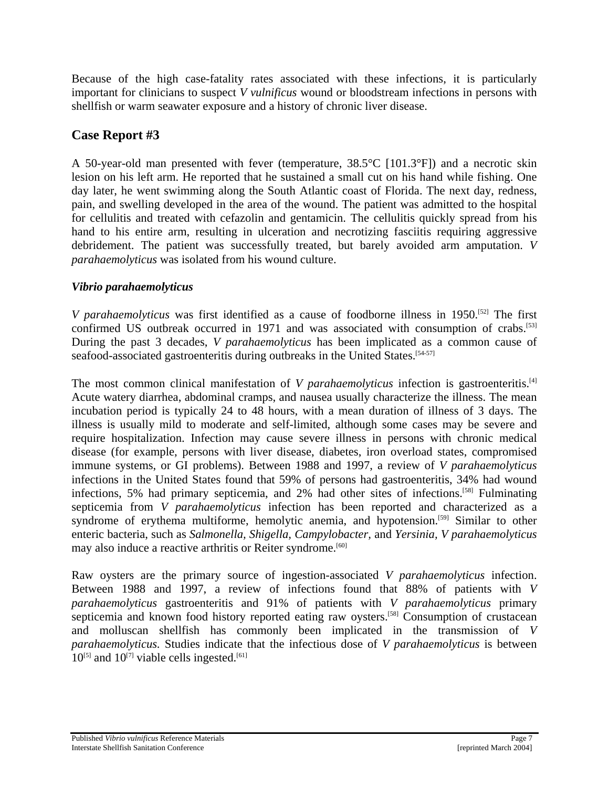Because of the high case-fatality rates associated with these infections, it is particularly important for clinicians to suspect *V vulnificus* wound or bloodstream infections in persons with shellfish or warm seawater exposure and a history of chronic liver disease.

#### **Case Report #3**

A 50-year-old man presented with fever (temperature, 38.5°C [101.3°F]) and a necrotic skin lesion on his left arm. He reported that he sustained a small cut on his hand while fishing. One day later, he went swimming along the South Atlantic coast of Florida. The next day, redness, pain, and swelling developed in the area of the wound. The patient was admitted to the hospital for cellulitis and treated with cefazolin and gentamicin. The cellulitis quickly spread from his hand to his entire arm, resulting in ulceration and necrotizing fasciitis requiring aggressive debridement. The patient was successfully treated, but barely avoided arm amputation. *V parahaemolyticus* was isolated from his wound culture.

#### *Vibrio parahaemolyticus*

*V parahaemolyticus* was first identified as a cause of foodborne illness in 1950.<sup>[52]</sup> The first confirmed US outbreak occurred in 1971 and was associated with consumption of crabs.<sup>[53]</sup> During the past 3 decades, *V parahaemolyticus* has been implicated as a common cause of seafood-associated gastroenteritis during outbreaks in the United States.<sup>[54-57]</sup>

The most common clinical manifestation of *V parahaemolyticus* infection is gastroenteritis.<sup>[4]</sup> Acute watery diarrhea, abdominal cramps, and nausea usually characterize the illness. The mean incubation period is typically 24 to 48 hours, with a mean duration of illness of 3 days. The illness is usually mild to moderate and self-limited, although some cases may be severe and require hospitalization. Infection may cause severe illness in persons with chronic medical disease (for example, persons with liver disease, diabetes, iron overload states, compromised immune systems, or GI problems). Between 1988 and 1997, a review of *V parahaemolyticus* infections in the United States found that 59% of persons had gastroenteritis, 34% had wound infections, 5% had primary septicemia, and 2% had other sites of infections.[58] Fulminating septicemia from *V parahaemolyticus* infection has been reported and characterized as a syndrome of erythema multiforme, hemolytic anemia, and hypotension.<sup>[59]</sup> Similar to other enteric bacteria, such as *Salmonella, Shigella, Campylobacter,* and *Yersinia, V parahaemolyticus* may also induce a reactive arthritis or Reiter syndrome.<sup>[60]</sup>

Raw oysters are the primary source of ingestion-associated *V parahaemolyticus* infection. Between 1988 and 1997, a review of infections found that 88% of patients with *V parahaemolyticus* gastroenteritis and 91% of patients with *V parahaemolyticus* primary septicemia and known food history reported eating raw oysters.<sup>[58]</sup> Consumption of crustacean and molluscan shellfish has commonly been implicated in the transmission of *V parahaemolyticus.* Studies indicate that the infectious dose of *V parahaemolyticus* is between  $10^{5}$  and  $10^{7}$  viable cells ingested.<sup>[61]</sup>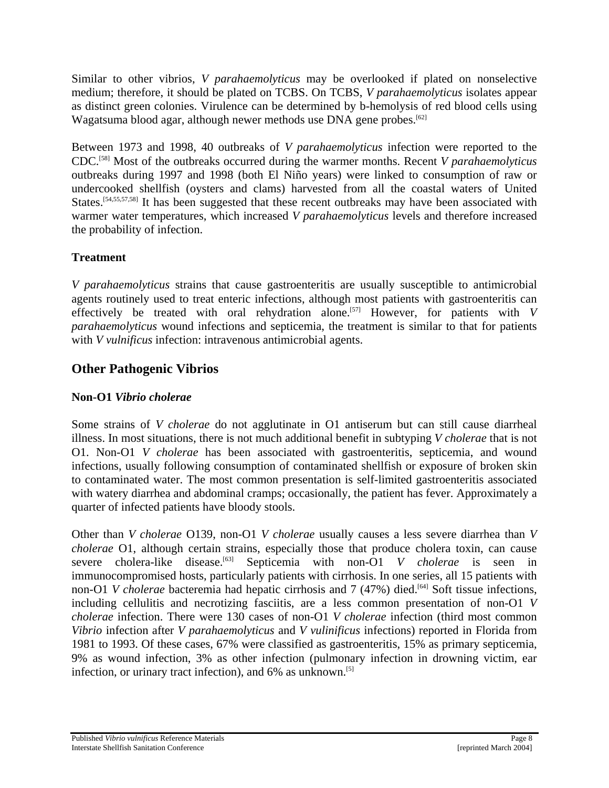Similar to other vibrios, *V parahaemolyticus* may be overlooked if plated on nonselective medium; therefore, it should be plated on TCBS. On TCBS, *V parahaemolyticus* isolates appear as distinct green colonies. Virulence can be determined by b-hemolysis of red blood cells using Wagatsuma blood agar, although newer methods use DNA gene probes.<sup>[62]</sup>

Between 1973 and 1998, 40 outbreaks of *V parahaemolyticus* infection were reported to the CDC.[58] Most of the outbreaks occurred during the warmer months. Recent *V parahaemolyticus* outbreaks during 1997 and 1998 (both El Niño years) were linked to consumption of raw or undercooked shellfish (oysters and clams) harvested from all the coastal waters of United States.<sup>[54,55,57,58]</sup> It has been suggested that these recent outbreaks may have been associated with warmer water temperatures, which increased *V parahaemolyticus* levels and therefore increased the probability of infection.

#### **Treatment**

*V parahaemolyticus* strains that cause gastroenteritis are usually susceptible to antimicrobial agents routinely used to treat enteric infections, although most patients with gastroenteritis can effectively be treated with oral rehydration alone.[57] However, for patients with *V parahaemolyticus* wound infections and septicemia, the treatment is similar to that for patients with *V vulnificus* infection: intravenous antimicrobial agents.

#### **Other Pathogenic Vibrios**

#### **Non-O1** *Vibrio cholerae*

Some strains of *V cholerae* do not agglutinate in O1 antiserum but can still cause diarrheal illness. In most situations, there is not much additional benefit in subtyping *V cholerae* that is not O1. Non-O1 *V cholerae* has been associated with gastroenteritis, septicemia, and wound infections, usually following consumption of contaminated shellfish or exposure of broken skin to contaminated water. The most common presentation is self-limited gastroenteritis associated with watery diarrhea and abdominal cramps; occasionally, the patient has fever. Approximately a quarter of infected patients have bloody stools.

Other than *V cholerae* O139, non-O1 *V cholerae* usually causes a less severe diarrhea than *V cholerae* O1, although certain strains, especially those that produce cholera toxin, can cause severe cholera-like disease.<sup>[63]</sup> Septicemia with non-O1 *V cholerae* is seen in immunocompromised hosts, particularly patients with cirrhosis. In one series, all 15 patients with non-O1 *V cholerae* bacteremia had hepatic cirrhosis and 7 (47%) died.<sup>[64]</sup> Soft tissue infections, including cellulitis and necrotizing fasciitis, are a less common presentation of non-O1 *V cholerae* infection. There were 130 cases of non-O1 *V cholerae* infection (third most common *Vibrio* infection after *V parahaemolyticus* and *V vulinificus* infections) reported in Florida from 1981 to 1993. Of these cases, 67% were classified as gastroenteritis, 15% as primary septicemia, 9% as wound infection, 3% as other infection (pulmonary infection in drowning victim, ear infection, or urinary tract infection), and 6% as unknown.<sup>[5]</sup>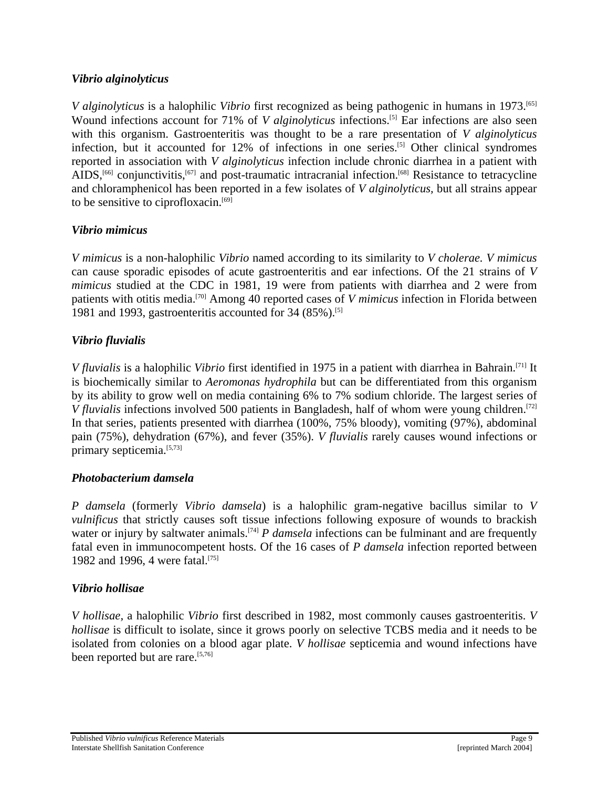#### *Vibrio alginolyticus*

*V alginolyticus* is a halophilic *Vibrio* first recognized as being pathogenic in humans in 1973.<sup>[65]</sup> Wound infections account for 71% of *V alginolyticus* infections.<sup>[5]</sup> Ear infections are also seen with this organism. Gastroenteritis was thought to be a rare presentation of *V alginolyticus* infection, but it accounted for 12% of infections in one series.[5] Other clinical syndromes reported in association with *V alginolyticus* infection include chronic diarrhea in a patient with AIDS,<sup>[66]</sup> conjunctivitis,<sup>[67]</sup> and post-traumatic intracranial infection.<sup>[68]</sup> Resistance to tetracycline and chloramphenicol has been reported in a few isolates of *V alginolyticus,* but all strains appear to be sensitive to ciprofloxacin.<sup>[69]</sup>

#### *Vibrio mimicus*

*V mimicus* is a non-halophilic *Vibrio* named according to its similarity to *V cholerae. V mimicus* can cause sporadic episodes of acute gastroenteritis and ear infections. Of the 21 strains of *V mimicus* studied at the CDC in 1981, 19 were from patients with diarrhea and 2 were from patients with otitis media.[70] Among 40 reported cases of *V mimicus* infection in Florida between 1981 and 1993, gastroenteritis accounted for 34 (85%).<sup>[5]</sup>

#### *Vibrio fluvialis*

*V fluvialis* is a halophilic *Vibrio* first identified in 1975 in a patient with diarrhea in Bahrain.[71] It is biochemically similar to *Aeromonas hydrophila* but can be differentiated from this organism by its ability to grow well on media containing 6% to 7% sodium chloride. The largest series of *V fluvialis* infections involved 500 patients in Bangladesh, half of whom were young children.<sup>[72]</sup> In that series, patients presented with diarrhea (100%, 75% bloody), vomiting (97%), abdominal pain (75%), dehydration (67%), and fever (35%). *V fluvialis* rarely causes wound infections or primary septicemia.<sup>[5,73]</sup>

#### *Photobacterium damsela*

*P damsela* (formerly *Vibrio damsela*) is a halophilic gram-negative bacillus similar to *V vulnificus* that strictly causes soft tissue infections following exposure of wounds to brackish water or injury by saltwater animals.<sup>[74]</sup> *P damsela* infections can be fulminant and are frequently fatal even in immunocompetent hosts. Of the 16 cases of *P damsela* infection reported between 1982 and 1996, 4 were fatal.<sup>[75]</sup>

#### *Vibrio hollisae*

*V hollisae,* a halophilic *Vibrio* first described in 1982, most commonly causes gastroenteritis. *V hollisae* is difficult to isolate, since it grows poorly on selective TCBS media and it needs to be isolated from colonies on a blood agar plate. *V hollisae* septicemia and wound infections have been reported but are rare.<sup>[5,76]</sup>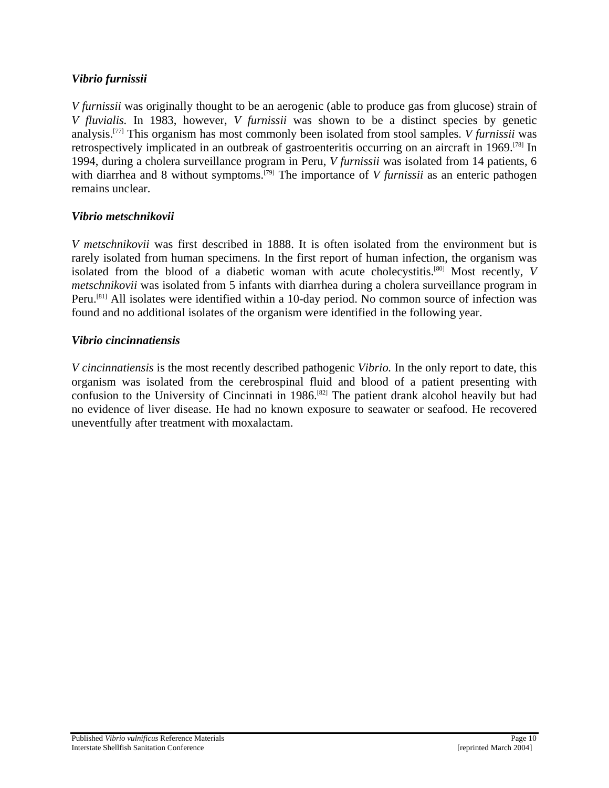#### *Vibrio furnissii*

*V furnissii* was originally thought to be an aerogenic (able to produce gas from glucose) strain of *V fluvialis.* In 1983, however, *V furnissii* was shown to be a distinct species by genetic analysis.[77] This organism has most commonly been isolated from stool samples. *V furnissii* was retrospectively implicated in an outbreak of gastroenteritis occurring on an aircraft in 1969.[78] In 1994, during a cholera surveillance program in Peru, *V furnissii* was isolated from 14 patients, 6 with diarrhea and 8 without symptoms.<sup>[79]</sup> The importance of *V furnissii* as an enteric pathogen remains unclear.

#### *Vibrio metschnikovii*

*V metschnikovii* was first described in 1888. It is often isolated from the environment but is rarely isolated from human specimens. In the first report of human infection, the organism was isolated from the blood of a diabetic woman with acute cholecystitis.[80] Most recently, *V metschnikovii* was isolated from 5 infants with diarrhea during a cholera surveillance program in Peru.[81] All isolates were identified within a 10-day period. No common source of infection was found and no additional isolates of the organism were identified in the following year.

#### *Vibrio cincinnatiensis*

*V cincinnatiensis* is the most recently described pathogenic *Vibrio.* In the only report to date, this organism was isolated from the cerebrospinal fluid and blood of a patient presenting with confusion to the University of Cincinnati in 1986.[82] The patient drank alcohol heavily but had no evidence of liver disease. He had no known exposure to seawater or seafood. He recovered uneventfully after treatment with moxalactam.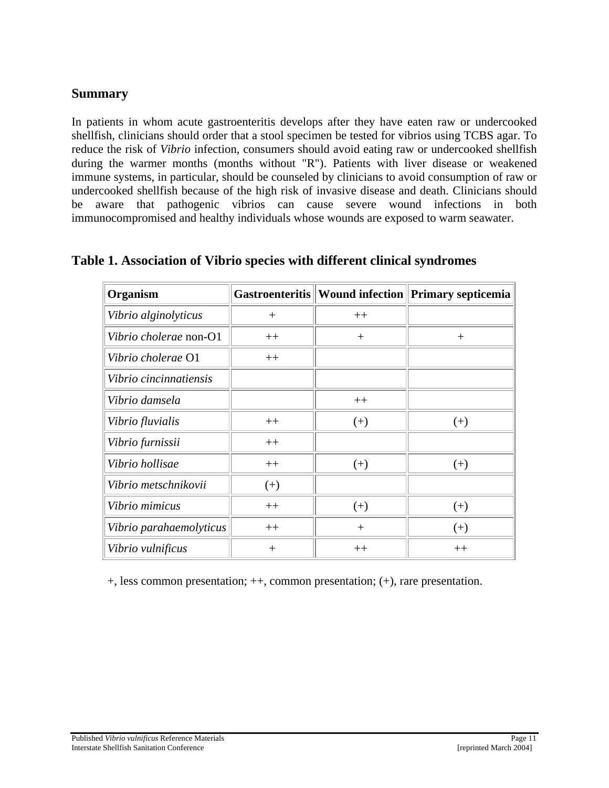#### **Summary**

In patients in whom acute gastroenteritis develops after they have eaten raw or undercooked shellfish, clinicians should order that a stool specimen be tested for vibrios using TCBS agar. To reduce the risk of *Vibrio* infection, consumers should avoid eating raw or undercooked shellfish during the warmer months (months without "R"). Patients with liver disease or weakened immune systems, in particular, should be counseled by clinicians to avoid consumption of raw or undercooked shellfish because of the high risk of invasive disease and death. Clinicians should be aware that pathogenic vibrios can cause severe wound infections in both immunocompromised and healthy individuals whose wounds are exposed to warm seawater.

| Organism                |        |          | Gastroenteritis    Wound infection    Primary septicemia |
|-------------------------|--------|----------|----------------------------------------------------------|
| Vibrio alginolyticus    | $+$    | $++$     |                                                          |
| Vibrio cholerae non-O1  | $++$   | $+$      | $+$                                                      |
| Vibrio cholerae O1      | $++$   |          |                                                          |
| Vibrio cincinnatiensis  |        |          |                                                          |
| Vibrio damsela          |        | $++$     |                                                          |
| Vibrio fluvialis        | $++$   | $^{(+)}$ | $(+)$                                                    |
| Vibrio furnissii        | $++$   |          |                                                          |
| Vibrio hollisae         | $++$   | $(+)$    | $(+)$                                                    |
| Vibrio metschnikovii    | $(+)$  |          |                                                          |
| Vibrio mimicus          | $++$   | $(+)$    | $(+)$                                                    |
| Vibrio parahaemolyticus | $++$   | $+$      | $(+)$                                                    |
| Vibrio vulnificus       | $^{+}$ | $++$     | $++$                                                     |

#### **Table 1. Association of Vibrio species with different clinical syndromes**

+, less common presentation; ++, common presentation; (+), rare presentation.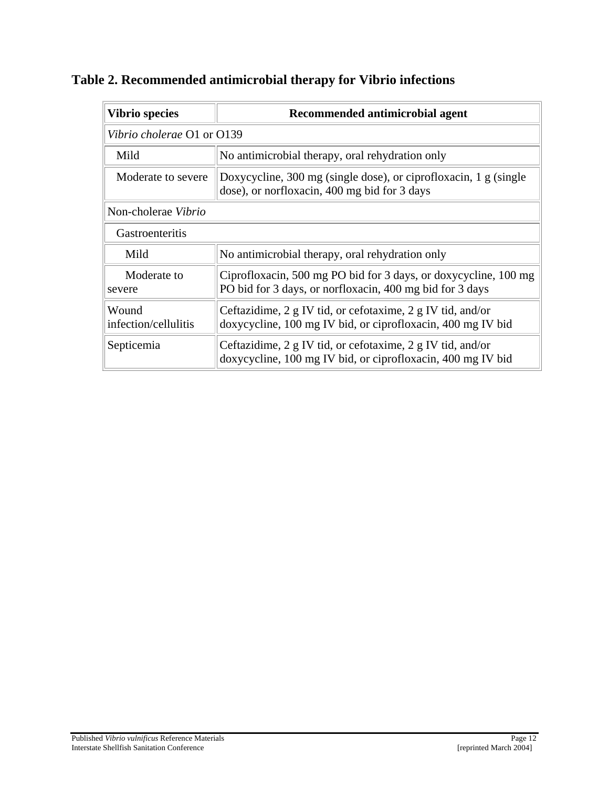| <b>Vibrio species</b>             | Recommended antimicrobial agent                                                                                                               |  |  |  |
|-----------------------------------|-----------------------------------------------------------------------------------------------------------------------------------------------|--|--|--|
| <i>Vibrio cholerae</i> O1 or O139 |                                                                                                                                               |  |  |  |
| Mild                              | No antimicrobial therapy, oral rehydration only                                                                                               |  |  |  |
| Moderate to severe                | Doxycycline, 300 mg (single dose), or ciprofloxacin, 1 g (single<br>dose), or norfloxacin, 400 mg bid for 3 days                              |  |  |  |
| Non-cholerae Vibrio               |                                                                                                                                               |  |  |  |
| Gastroenteritis                   |                                                                                                                                               |  |  |  |
| Mild                              | No antimicrobial therapy, oral rehydration only                                                                                               |  |  |  |
| Moderate to<br>severe             | Ciprofloxacin, 500 mg PO bid for 3 days, or doxycycline, 100 mg<br>PO bid for 3 days, or norfloxacin, 400 mg bid for 3 days                   |  |  |  |
| Wound<br>infection/cellulitis     | Ceftazidime, 2 g IV tid, or cefotaxime, 2 g IV tid, and/or<br>doxycycline, 100 mg IV bid, or ciprofloxacin, 400 mg IV bid                     |  |  |  |
| Septicemia                        | Ceftazidime, $2 \text{ g}$ IV tid, or cefotaxime, $2 \text{ g}$ IV tid, and/or<br>doxycycline, 100 mg IV bid, or ciprofloxacin, 400 mg IV bid |  |  |  |

### **Table 2. Recommended antimicrobial therapy for Vibrio infections**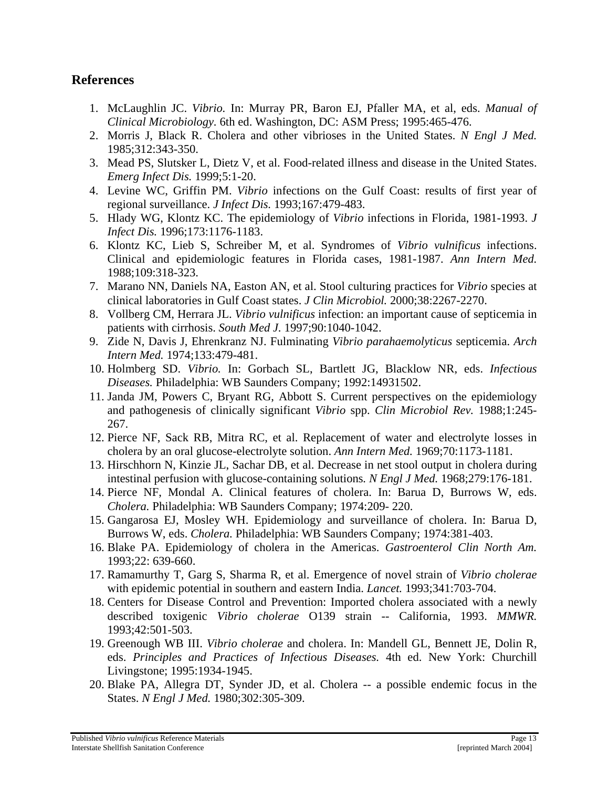#### **References**

- 1. McLaughlin JC. *Vibrio.* In: Murray PR, Baron EJ, Pfaller MA, et al, eds. *Manual of Clinical Microbiology.* 6th ed. Washington, DC: ASM Press; 1995:465-476.
- 2. Morris J, Black R. Cholera and other vibrioses in the United States. *N Engl J Med.* 1985;312:343-350.
- 3. Mead PS, Slutsker L, Dietz V, et al. Food-related illness and disease in the United States. *Emerg Infect Dis.* 1999;5:1-20.
- 4. Levine WC, Griffin PM. *Vibrio* infections on the Gulf Coast: results of first year of regional surveillance. *J Infect Dis.* 1993;167:479-483.
- 5. Hlady WG, Klontz KC. The epidemiology of *Vibrio* infections in Florida, 1981-1993. *J Infect Dis.* 1996;173:1176-1183.
- 6. Klontz KC, Lieb S, Schreiber M, et al. Syndromes of *Vibrio vulnificus* infections. Clinical and epidemiologic features in Florida cases, 1981-1987. *Ann Intern Med.* 1988;109:318-323.
- 7. Marano NN, Daniels NA, Easton AN, et al. Stool culturing practices for *Vibrio* species at clinical laboratories in Gulf Coast states. *J Clin Microbiol.* 2000;38:2267-2270.
- 8. Vollberg CM, Herrara JL. *Vibrio vulnificus* infection: an important cause of septicemia in patients with cirrhosis. *South Med J.* 1997;90:1040-1042.
- 9. Zide N, Davis J, Ehrenkranz NJ. Fulminating *Vibrio parahaemolyticus* septicemia. *Arch Intern Med.* 1974;133:479-481.
- 10. Holmberg SD. *Vibrio.* In: Gorbach SL, Bartlett JG, Blacklow NR, eds. *Infectious Diseases.* Philadelphia: WB Saunders Company; 1992:14931502.
- 11. Janda JM, Powers C, Bryant RG, Abbott S. Current perspectives on the epidemiology and pathogenesis of clinically significant *Vibrio* spp. *Clin Microbiol Rev.* 1988;1:245- 267.
- 12. Pierce NF, Sack RB, Mitra RC, et al. Replacement of water and electrolyte losses in cholera by an oral glucose-electrolyte solution. *Ann Intern Med.* 1969;70:1173-1181.
- 13. Hirschhorn N, Kinzie JL, Sachar DB, et al. Decrease in net stool output in cholera during intestinal perfusion with glucose-containing solutions*. N Engl J Med.* 1968;279:176-181.
- 14. Pierce NF, Mondal A. Clinical features of cholera. In: Barua D, Burrows W, eds. *Cholera.* Philadelphia: WB Saunders Company; 1974:209- 220.
- 15. Gangarosa EJ, Mosley WH. Epidemiology and surveillance of cholera. In: Barua D, Burrows W, eds. *Cholera.* Philadelphia: WB Saunders Company; 1974:381-403.
- 16. Blake PA. Epidemiology of cholera in the Americas. *Gastroenterol Clin North Am.* 1993;22: 639-660.
- 17. Ramamurthy T, Garg S, Sharma R, et al. Emergence of novel strain of *Vibrio cholerae* with epidemic potential in southern and eastern India. *Lancet.* 1993;341:703-704.
- 18. Centers for Disease Control and Prevention: Imported cholera associated with a newly described toxigenic *Vibrio cholerae* O139 strain -- California, 1993. *MMWR.* 1993;42:501-503.
- 19. Greenough WB III. *Vibrio cholerae* and cholera. In: Mandell GL, Bennett JE, Dolin R, eds. *Principles and Practices of Infectious Diseases.* 4th ed. New York: Churchill Livingstone; 1995:1934-1945.
- 20. Blake PA, Allegra DT, Synder JD, et al. Cholera -- a possible endemic focus in the States. *N Engl J Med.* 1980;302:305-309.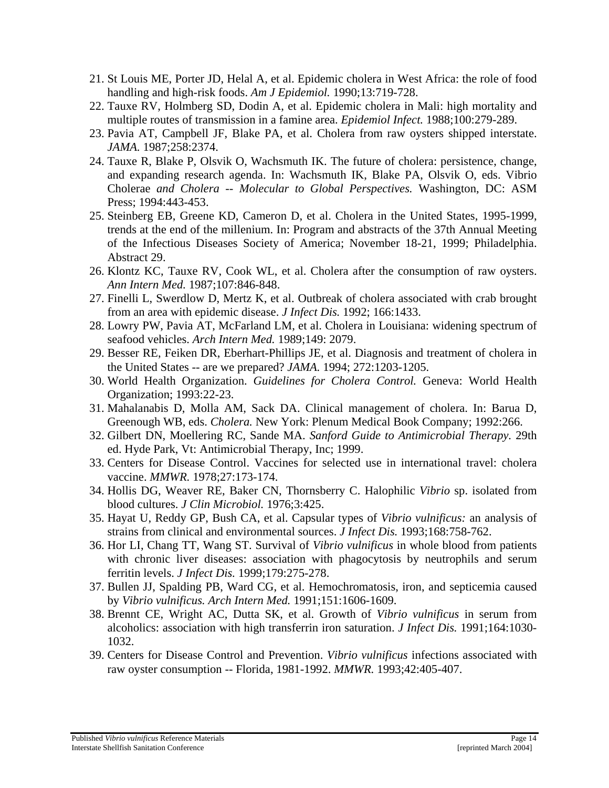- 21. St Louis ME, Porter JD, Helal A, et al. Epidemic cholera in West Africa: the role of food handling and high-risk foods. *Am J Epidemiol.* 1990;13:719-728.
- 22. Tauxe RV, Holmberg SD, Dodin A, et al. Epidemic cholera in Mali: high mortality and multiple routes of transmission in a famine area. *Epidemiol Infect.* 1988;100:279-289.
- 23. Pavia AT, Campbell JF, Blake PA, et al. Cholera from raw oysters shipped interstate. *JAMA.* 1987;258:2374.
- 24. Tauxe R, Blake P, Olsvik O, Wachsmuth IK. The future of cholera: persistence, change, and expanding research agenda. In: Wachsmuth IK, Blake PA, Olsvik O, eds. Vibrio Cholerae *and Cholera -- Molecular to Global Perspectives.* Washington, DC: ASM Press; 1994:443-453.
- 25. Steinberg EB, Greene KD, Cameron D, et al. Cholera in the United States, 1995-1999, trends at the end of the millenium. In: Program and abstracts of the 37th Annual Meeting of the Infectious Diseases Society of America; November 18-21, 1999; Philadelphia. Abstract 29.
- 26. Klontz KC, Tauxe RV, Cook WL, et al. Cholera after the consumption of raw oysters. *Ann Intern Med.* 1987;107:846-848.
- 27. Finelli L, Swerdlow D, Mertz K, et al. Outbreak of cholera associated with crab brought from an area with epidemic disease. *J Infect Dis.* 1992; 166:1433.
- 28. Lowry PW, Pavia AT, McFarland LM, et al. Cholera in Louisiana: widening spectrum of seafood vehicles. *Arch Intern Med.* 1989;149: 2079.
- 29. Besser RE, Feiken DR, Eberhart-Phillips JE, et al. Diagnosis and treatment of cholera in the United States -- are we prepared? *JAMA.* 1994; 272:1203-1205.
- 30. World Health Organization. *Guidelines for Cholera Control.* Geneva: World Health Organization; 1993:22-23.
- 31. Mahalanabis D, Molla AM, Sack DA. Clinical management of cholera. In: Barua D, Greenough WB, eds. *Cholera.* New York: Plenum Medical Book Company; 1992:266.
- 32. Gilbert DN, Moellering RC, Sande MA. *Sanford Guide to Antimicrobial Therapy.* 29th ed. Hyde Park, Vt: Antimicrobial Therapy, Inc; 1999.
- 33. Centers for Disease Control. Vaccines for selected use in international travel: cholera vaccine. *MMWR.* 1978;27:173-174.
- 34. Hollis DG, Weaver RE, Baker CN, Thornsberry C. Halophilic *Vibrio* sp. isolated from blood cultures. *J Clin Microbiol.* 1976;3:425.
- 35. Hayat U, Reddy GP, Bush CA, et al. Capsular types of *Vibrio vulnificus:* an analysis of strains from clinical and environmental sources. *J Infect Dis.* 1993;168:758-762.
- 36. Hor LI, Chang TT, Wang ST. Survival of *Vibrio vulnificus* in whole blood from patients with chronic liver diseases: association with phagocytosis by neutrophils and serum ferritin levels. *J Infect Dis.* 1999;179:275-278.
- 37. Bullen JJ, Spalding PB, Ward CG, et al. Hemochromatosis, iron, and septicemia caused by *Vibrio vulnificus. Arch Intern Med.* 1991;151:1606-1609.
- 38. Brennt CE, Wright AC, Dutta SK, et al. Growth of *Vibrio vulnificus* in serum from alcoholics: association with high transferrin iron saturation. *J Infect Dis.* 1991;164:1030- 1032.
- 39. Centers for Disease Control and Prevention. *Vibrio vulnificus* infections associated with raw oyster consumption -- Florida, 1981-1992. *MMWR.* 1993;42:405-407.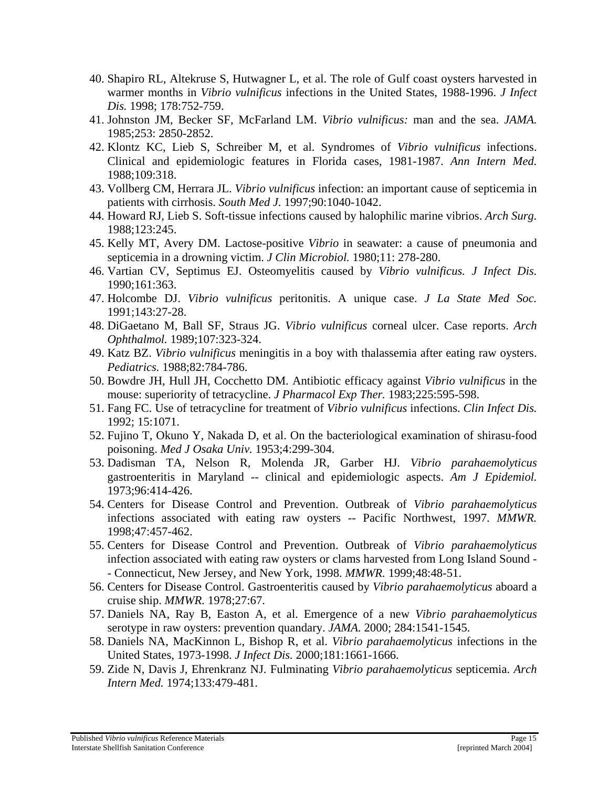- 40. Shapiro RL, Altekruse S, Hutwagner L, et al. The role of Gulf coast oysters harvested in warmer months in *Vibrio vulnificus* infections in the United States, 1988-1996. *J Infect Dis.* 1998; 178:752-759.
- 41. Johnston JM, Becker SF, McFarland LM. *Vibrio vulnificus:* man and the sea. *JAMA.* 1985;253: 2850-2852.
- 42. Klontz KC, Lieb S, Schreiber M, et al. Syndromes of *Vibrio vulnificus* infections. Clinical and epidemiologic features in Florida cases, 1981-1987. *Ann Intern Med.* 1988;109:318.
- 43. Vollberg CM, Herrara JL. *Vibrio vulnificus* infection: an important cause of septicemia in patients with cirrhosis. *South Med J.* 1997;90:1040-1042.
- 44. Howard RJ, Lieb S. Soft-tissue infections caused by halophilic marine vibrios. *Arch Surg.* 1988;123:245.
- 45. Kelly MT, Avery DM. Lactose-positive *Vibrio* in seawater: a cause of pneumonia and septicemia in a drowning victim. *J Clin Microbiol.* 1980;11: 278-280.
- 46. Vartian CV, Septimus EJ. Osteomyelitis caused by *Vibrio vulnificus. J Infect Dis.* 1990;161:363.
- 47. Holcombe DJ. *Vibrio vulnificus* peritonitis. A unique case. *J La State Med Soc.* 1991;143:27-28.
- 48. DiGaetano M, Ball SF, Straus JG. *Vibrio vulnificus* corneal ulcer. Case reports. *Arch Ophthalmol.* 1989;107:323-324.
- 49. Katz BZ. *Vibrio vulnificus* meningitis in a boy with thalassemia after eating raw oysters. *Pediatrics.* 1988;82:784-786.
- 50. Bowdre JH, Hull JH, Cocchetto DM. Antibiotic efficacy against *Vibrio vulnificus* in the mouse: superiority of tetracycline. *J Pharmacol Exp Ther.* 1983;225:595-598.
- 51. Fang FC. Use of tetracycline for treatment of *Vibrio vulnificus* infections. *Clin Infect Dis.* 1992; 15:1071.
- 52. Fujino T, Okuno Y, Nakada D, et al. On the bacteriological examination of shirasu-food poisoning. *Med J Osaka Univ.* 1953;4:299-304.
- 53. Dadisman TA, Nelson R, Molenda JR, Garber HJ. *Vibrio parahaemolyticus* gastroenteritis in Maryland -- clinical and epidemiologic aspects. *Am J Epidemiol.* 1973;96:414-426.
- 54. Centers for Disease Control and Prevention. Outbreak of *Vibrio parahaemolyticus* infections associated with eating raw oysters -- Pacific Northwest, 1997. *MMWR.* 1998;47:457-462.
- 55. Centers for Disease Control and Prevention. Outbreak of *Vibrio parahaemolyticus* infection associated with eating raw oysters or clams harvested from Long Island Sound - - Connecticut, New Jersey, and New York, 1998. *MMWR.* 1999;48:48-51.
- 56. Centers for Disease Control. Gastroenteritis caused by *Vibrio parahaemolyticus* aboard a cruise ship. *MMWR.* 1978;27:67.
- 57. Daniels NA, Ray B, Easton A, et al. Emergence of a new *Vibrio parahaemolyticus* serotype in raw oysters: prevention quandary. *JAMA.* 2000; 284:1541-1545.
- 58. Daniels NA, MacKinnon L, Bishop R, et al. *Vibrio parahaemolyticus* infections in the United States, 1973-1998. *J Infect Dis.* 2000;181:1661-1666.
- 59. Zide N, Davis J, Ehrenkranz NJ. Fulminating *Vibrio parahaemolyticus* septicemia. *Arch Intern Med.* 1974;133:479-481.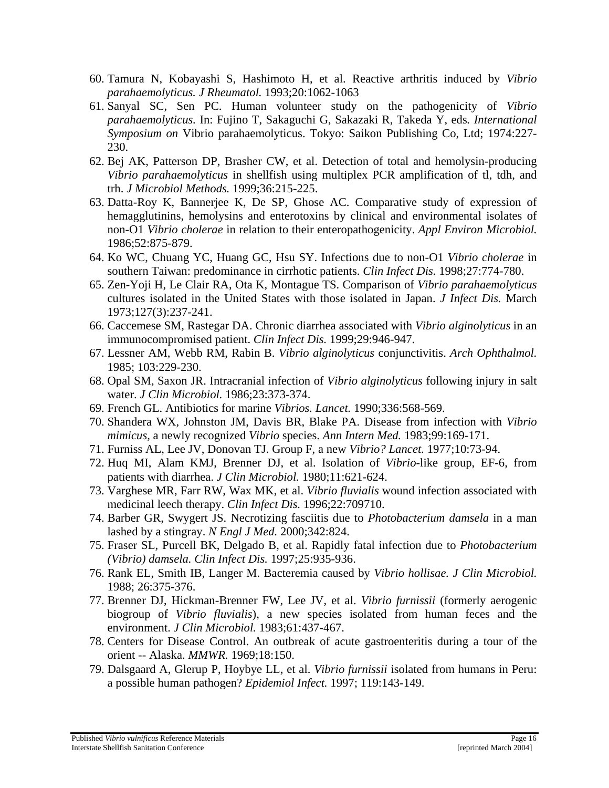- 60. Tamura N, Kobayashi S, Hashimoto H, et al. Reactive arthritis induced by *Vibrio parahaemolyticus. J Rheumatol.* 1993;20:1062-1063
- 61. Sanyal SC, Sen PC. Human volunteer study on the pathogenicity of *Vibrio parahaemolyticus.* In: Fujino T, Sakaguchi G, Sakazaki R, Takeda Y, eds*. International Symposium on* Vibrio parahaemolyticus. Tokyo: Saikon Publishing Co, Ltd; 1974:227- 230.
- 62. Bej AK, Patterson DP, Brasher CW, et al. Detection of total and hemolysin-producing *Vibrio parahaemolyticus* in shellfish using multiplex PCR amplification of tl, tdh, and trh. *J Microbiol Methods.* 1999;36:215-225.
- 63. Datta-Roy K, Bannerjee K, De SP, Ghose AC. Comparative study of expression of hemagglutinins, hemolysins and enterotoxins by clinical and environmental isolates of non-O1 *Vibrio cholerae* in relation to their enteropathogenicity. *Appl Environ Microbiol.* 1986;52:875-879.
- 64. Ko WC, Chuang YC, Huang GC, Hsu SY. Infections due to non-O1 *Vibrio cholerae* in southern Taiwan: predominance in cirrhotic patients. *Clin Infect Dis.* 1998;27:774-780.
- 65. Zen-Yoji H, Le Clair RA, Ota K, Montague TS. Comparison of *Vibrio parahaemolyticus* cultures isolated in the United States with those isolated in Japan. *J Infect Dis.* March 1973;127(3):237-241.
- 66. Caccemese SM, Rastegar DA. Chronic diarrhea associated with *Vibrio alginolyticus* in an immunocompromised patient. *Clin Infect Dis.* 1999;29:946-947.
- 67. Lessner AM, Webb RM, Rabin B. *Vibrio alginolyticus* conjunctivitis. *Arch Ophthalmol.* 1985; 103:229-230.
- 68. Opal SM, Saxon JR. Intracranial infection of *Vibrio alginolyticus* following injury in salt water. *J Clin Microbiol.* 1986;23:373-374.
- 69. French GL. Antibiotics for marine *Vibrios. Lancet.* 1990;336:568-569.
- 70. Shandera WX, Johnston JM, Davis BR, Blake PA. Disease from infection with *Vibrio mimicus,* a newly recognized *Vibrio* species. *Ann Intern Med.* 1983;99:169-171.
- 71. Furniss AL, Lee JV, Donovan TJ. Group F, a new *Vibrio? Lancet.* 1977;10:73-94.
- 72. Huq MI, Alam KMJ, Brenner DJ, et al. Isolation of *Vibrio*-like group, EF-6, from patients with diarrhea. *J Clin Microbiol.* 1980;11:621-624.
- 73. Varghese MR, Farr RW, Wax MK, et al. *Vibrio fluvialis* wound infection associated with medicinal leech therapy. *Clin Infect Dis.* 1996;22:709710.
- 74. Barber GR, Swygert JS. Necrotizing fasciitis due to *Photobacterium damsela* in a man lashed by a stingray. *N Engl J Med.* 2000;342:824.
- 75. Fraser SL, Purcell BK, Delgado B, et al. Rapidly fatal infection due to *Photobacterium (Vibrio) damsela. Clin Infect Dis.* 1997;25:935-936.
- 76. Rank EL, Smith IB, Langer M. Bacteremia caused by *Vibrio hollisae. J Clin Microbiol.* 1988; 26:375-376.
- 77. Brenner DJ, Hickman-Brenner FW, Lee JV, et al. *Vibrio furnissii* (formerly aerogenic biogroup of *Vibrio fluvialis*), a new species isolated from human feces and the environment. *J Clin Microbiol.* 1983;61:437-467.
- 78. Centers for Disease Control. An outbreak of acute gastroenteritis during a tour of the orient -- Alaska. *MMWR.* 1969;18:150.
- 79. Dalsgaard A, Glerup P, Hoybye LL, et al. *Vibrio furnissii* isolated from humans in Peru: a possible human pathogen? *Epidemiol Infect.* 1997; 119:143-149.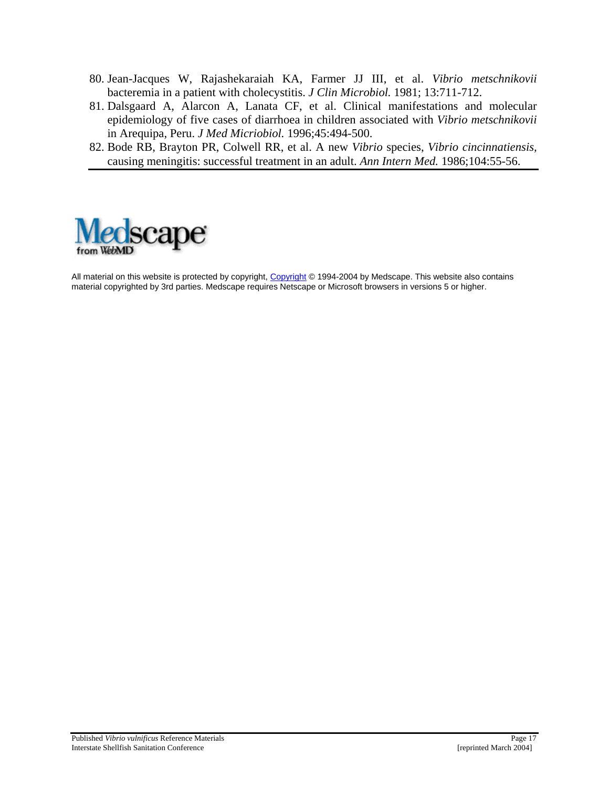- 80. Jean-Jacques W, Rajashekaraiah KA, Farmer JJ III, et al. *Vibrio metschnikovii* bacteremia in a patient with cholecystitis. *J Clin Microbiol.* 1981; 13:711-712.
- 81. Dalsgaard A, Alarcon A, Lanata CF, et al. Clinical manifestations and molecular epidemiology of five cases of diarrhoea in children associated with *Vibrio metschnikovii* in Arequipa, Peru. *J Med Micriobiol.* 1996;45:494-500.
- 82. Bode RB, Brayton PR, Colwell RR, et al. A new *Vibrio* species, *Vibrio cincinnatiensis,* causing meningitis: successful treatment in an adult. *Ann Intern Med.* 1986;104:55-56.



All material on this website is protected by copyright, Copyright © 1994-2004 by Medscape. This website also contains material copyrighted by 3rd parties. Medscape requires Netscape or Microsoft browsers in versions 5 or higher.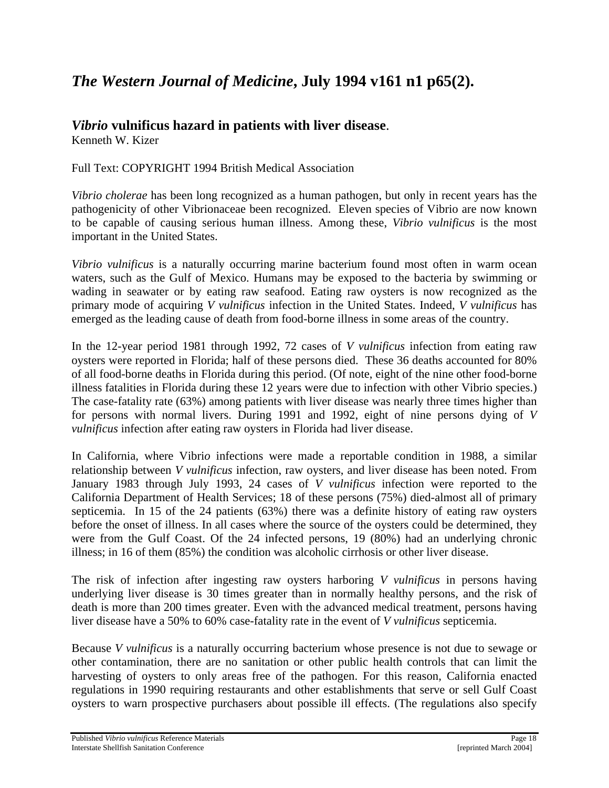## *The Western Journal of Medicine***, July 1994 v161 n1 p65(2).**

#### *Vibrio* **vulnificus hazard in patients with liver disease**.

Kenneth W. Kizer

#### Full Text: COPYRIGHT 1994 British Medical Association

*Vibrio cholerae* has been long recognized as a human pathogen, but only in recent years has the pathogenicity of other Vibrionaceae been recognized. Eleven species of Vibrio are now known to be capable of causing serious human illness. Among these, *Vibrio vulnificus* is the most important in the United States.

*Vibrio vulnificus* is a naturally occurring marine bacterium found most often in warm ocean waters, such as the Gulf of Mexico. Humans may be exposed to the bacteria by swimming or wading in seawater or by eating raw seafood. Eating raw oysters is now recognized as the primary mode of acquiring *V vulnificus* infection in the United States. Indeed, *V vulnificus* has emerged as the leading cause of death from food-borne illness in some areas of the country.

In the 12-year period 1981 through 1992, 72 cases of *V vulnificus* infection from eating raw oysters were reported in Florida; half of these persons died. These 36 deaths accounted for 80% of all food-borne deaths in Florida during this period. (Of note, eight of the nine other food-borne illness fatalities in Florida during these 12 years were due to infection with other Vibrio species.) The case-fatality rate (63%) among patients with liver disease was nearly three times higher than for persons with normal livers. During 1991 and 1992, eight of nine persons dying of *V vulnificus* infection after eating raw oysters in Florida had liver disease.

In California, where Vibri*o* infections were made a reportable condition in 1988, a similar relationship between *V vulnificus* infection, raw oysters, and liver disease has been noted. From January 1983 through July 1993, 24 cases of *V vulnificus* infection were reported to the California Department of Health Services; 18 of these persons (75%) died-almost all of primary septicemia. In 15 of the 24 patients (63%) there was a definite history of eating raw oysters before the onset of illness. In all cases where the source of the oysters could be determined, they were from the Gulf Coast. Of the 24 infected persons, 19 (80%) had an underlying chronic illness; in 16 of them (85%) the condition was alcoholic cirrhosis or other liver disease.

The risk of infection after ingesting raw oysters harboring *V vulnificus* in persons having underlying liver disease is 30 times greater than in normally healthy persons, and the risk of death is more than 200 times greater. Even with the advanced medical treatment, persons having liver disease have a 50% to 60% case-fatality rate in the event of *V vulnificus* septicemia.

Because *V vulnificus* is a naturally occurring bacterium whose presence is not due to sewage or other contamination, there are no sanitation or other public health controls that can limit the harvesting of oysters to only areas free of the pathogen. For this reason, California enacted regulations in 1990 requiring restaurants and other establishments that serve or sell Gulf Coast oysters to warn prospective purchasers about possible ill effects. (The regulations also specify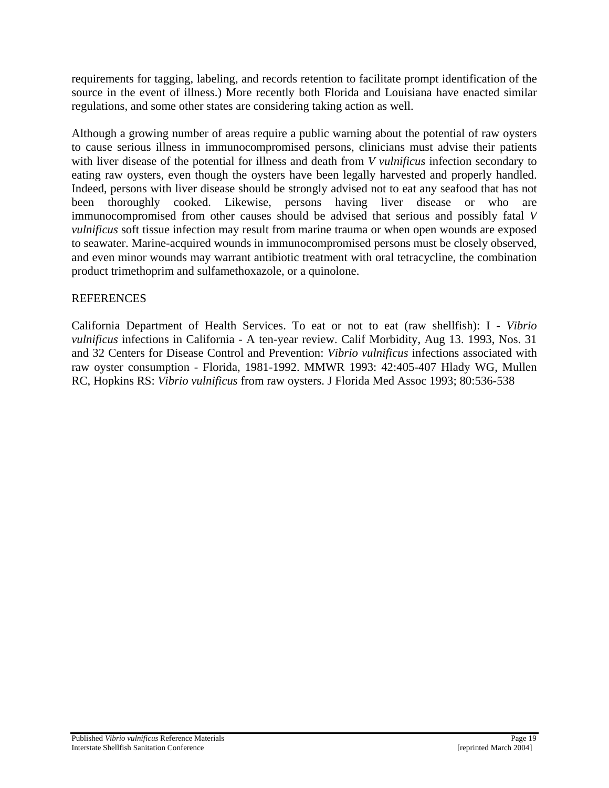requirements for tagging, labeling, and records retention to facilitate prompt identification of the source in the event of illness.) More recently both Florida and Louisiana have enacted similar regulations, and some other states are considering taking action as well.

Although a growing number of areas require a public warning about the potential of raw oysters to cause serious illness in immunocompromised persons, clinicians must advise their patients with liver disease of the potential for illness and death from *V vulnificus* infection secondary to eating raw oysters, even though the oysters have been legally harvested and properly handled. Indeed, persons with liver disease should be strongly advised not to eat any seafood that has not been thoroughly cooked. Likewise, persons having liver disease or who immunocompromised from other causes should be advised that serious and possibly fatal *V vulnificus* soft tissue infection may result from marine trauma or when open wounds are exposed to seawater. Marine-acquired wounds in immunocompromised persons must be closely observed, and even minor wounds may warrant antibiotic treatment with oral tetracycline, the combination product trimethoprim and sulfamethoxazole, or a quinolone.

#### **REFERENCES**

California Department of Health Services. To eat or not to eat (raw shellfish): I - *Vibrio vulnificus* infections in California - A ten-year review. Calif Morbidity, Aug 13. 1993, Nos. 31 and 32 Centers for Disease Control and Prevention: *Vibrio vulnificus* infections associated with raw oyster consumption - Florida, 1981-1992. MMWR 1993: 42:405-407 Hlady WG, Mullen RC, Hopkins RS: *Vibrio vulnificus* from raw oysters. J Florida Med Assoc 1993; 80:536-538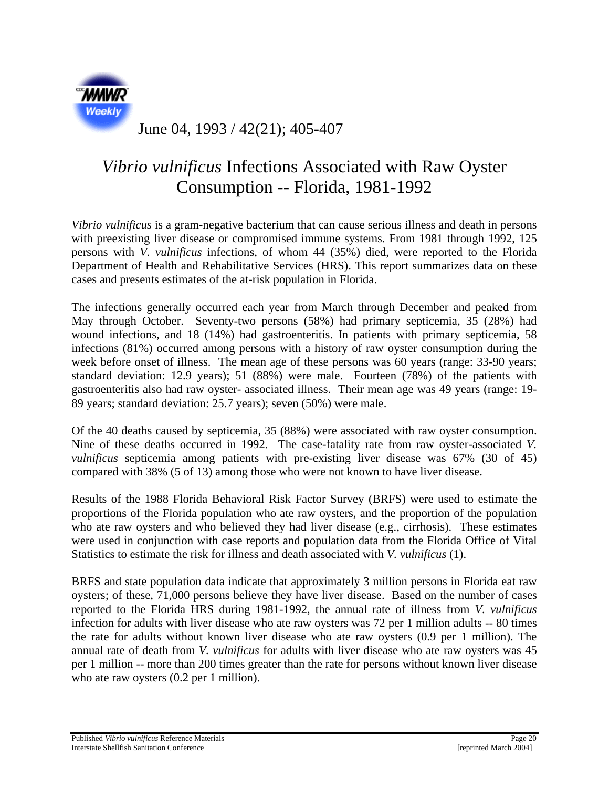

June 04, 1993 / 42(21); 405-407

# *Vibrio vulnificus* Infections Associated with Raw Oyster Consumption -- Florida, 1981-1992

*Vibrio vulnificus* is a gram-negative bacterium that can cause serious illness and death in persons with preexisting liver disease or compromised immune systems. From 1981 through 1992, 125 persons with *V. vulnificus* infections, of whom 44 (35%) died, were reported to the Florida Department of Health and Rehabilitative Services (HRS). This report summarizes data on these cases and presents estimates of the at-risk population in Florida.

The infections generally occurred each year from March through December and peaked from May through October. Seventy-two persons (58%) had primary septicemia, 35 (28%) had wound infections, and 18 (14%) had gastroenteritis. In patients with primary septicemia, 58 infections (81%) occurred among persons with a history of raw oyster consumption during the week before onset of illness. The mean age of these persons was 60 years (range: 33-90 years; standard deviation: 12.9 years); 51 (88%) were male. Fourteen (78%) of the patients with gastroenteritis also had raw oyster- associated illness. Their mean age was 49 years (range: 19- 89 years; standard deviation: 25.7 years); seven (50%) were male.

Of the 40 deaths caused by septicemia, 35 (88%) were associated with raw oyster consumption. Nine of these deaths occurred in 1992. The case-fatality rate from raw oyster-associated *V. vulnificus* septicemia among patients with pre-existing liver disease was 67% (30 of 45) compared with 38% (5 of 13) among those who were not known to have liver disease.

Results of the 1988 Florida Behavioral Risk Factor Survey (BRFS) were used to estimate the proportions of the Florida population who ate raw oysters, and the proportion of the population who ate raw oysters and who believed they had liver disease (e.g., cirrhosis). These estimates were used in conjunction with case reports and population data from the Florida Office of Vital Statistics to estimate the risk for illness and death associated with *V. vulnificus* (1).

BRFS and state population data indicate that approximately 3 million persons in Florida eat raw oysters; of these, 71,000 persons believe they have liver disease. Based on the number of cases reported to the Florida HRS during 1981-1992, the annual rate of illness from *V. vulnificus* infection for adults with liver disease who ate raw oysters was 72 per 1 million adults -- 80 times the rate for adults without known liver disease who ate raw oysters (0.9 per 1 million). The annual rate of death from *V. vulnificus* for adults with liver disease who ate raw oysters was 45 per 1 million -- more than 200 times greater than the rate for persons without known liver disease who ate raw oysters  $(0.2 \text{ per } 1 \text{ million})$ .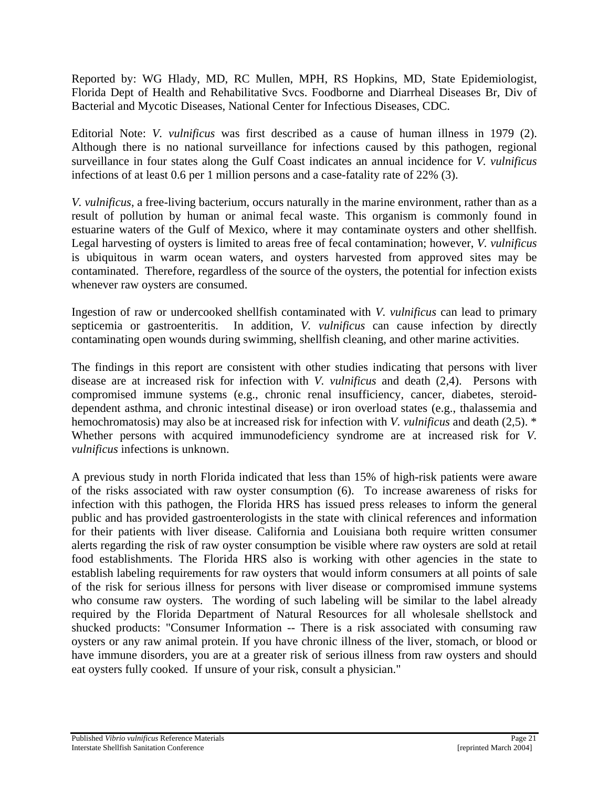Reported by: WG Hlady, MD, RC Mullen, MPH, RS Hopkins, MD, State Epidemiologist, Florida Dept of Health and Rehabilitative Svcs. Foodborne and Diarrheal Diseases Br, Div of Bacterial and Mycotic Diseases, National Center for Infectious Diseases, CDC.

Editorial Note: *V. vulnificus* was first described as a cause of human illness in 1979 (2). Although there is no national surveillance for infections caused by this pathogen, regional surveillance in four states along the Gulf Coast indicates an annual incidence for *V. vulnificus* infections of at least 0.6 per 1 million persons and a case-fatality rate of 22% (3).

*V. vulnificus*, a free-living bacterium, occurs naturally in the marine environment, rather than as a result of pollution by human or animal fecal waste. This organism is commonly found in estuarine waters of the Gulf of Mexico, where it may contaminate oysters and other shellfish. Legal harvesting of oysters is limited to areas free of fecal contamination; however, *V. vulnificus* is ubiquitous in warm ocean waters, and oysters harvested from approved sites may be contaminated. Therefore, regardless of the source of the oysters, the potential for infection exists whenever raw oysters are consumed.

Ingestion of raw or undercooked shellfish contaminated with *V. vulnificus* can lead to primary septicemia or gastroenteritis. In addition, *V. vulnificus* can cause infection by directly contaminating open wounds during swimming, shellfish cleaning, and other marine activities.

The findings in this report are consistent with other studies indicating that persons with liver disease are at increased risk for infection with *V. vulnificus* and death (2,4). Persons with compromised immune systems (e.g., chronic renal insufficiency, cancer, diabetes, steroiddependent asthma, and chronic intestinal disease) or iron overload states (e.g., thalassemia and hemochromatosis) may also be at increased risk for infection with *V. vulnificus* and death (2,5). \* Whether persons with acquired immunodeficiency syndrome are at increased risk for *V. vulnificus* infections is unknown.

A previous study in north Florida indicated that less than 15% of high-risk patients were aware of the risks associated with raw oyster consumption (6). To increase awareness of risks for infection with this pathogen, the Florida HRS has issued press releases to inform the general public and has provided gastroenterologists in the state with clinical references and information for their patients with liver disease. California and Louisiana both require written consumer alerts regarding the risk of raw oyster consumption be visible where raw oysters are sold at retail food establishments. The Florida HRS also is working with other agencies in the state to establish labeling requirements for raw oysters that would inform consumers at all points of sale of the risk for serious illness for persons with liver disease or compromised immune systems who consume raw oysters. The wording of such labeling will be similar to the label already required by the Florida Department of Natural Resources for all wholesale shellstock and shucked products: "Consumer Information -- There is a risk associated with consuming raw oysters or any raw animal protein. If you have chronic illness of the liver, stomach, or blood or have immune disorders, you are at a greater risk of serious illness from raw oysters and should eat oysters fully cooked. If unsure of your risk, consult a physician."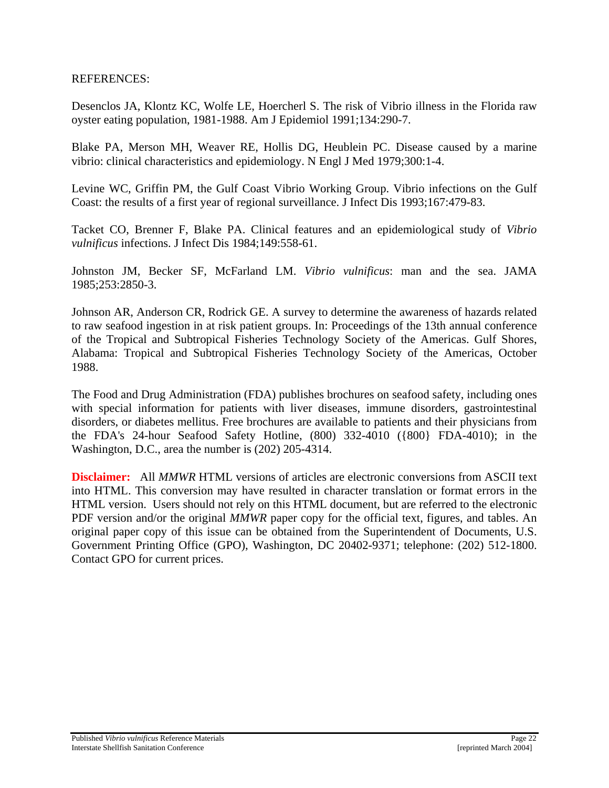#### REFERENCES:

Desenclos JA, Klontz KC, Wolfe LE, Hoercherl S. The risk of Vibrio illness in the Florida raw oyster eating population, 1981-1988. Am J Epidemiol 1991;134:290-7.

Blake PA, Merson MH, Weaver RE, Hollis DG, Heublein PC. Disease caused by a marine vibrio: clinical characteristics and epidemiology. N Engl J Med 1979;300:1-4.

Levine WC, Griffin PM, the Gulf Coast Vibrio Working Group. Vibrio infections on the Gulf Coast: the results of a first year of regional surveillance. J Infect Dis 1993;167:479-83.

Tacket CO, Brenner F, Blake PA. Clinical features and an epidemiological study of *Vibrio vulnificus* infections. J Infect Dis 1984;149:558-61.

Johnston JM, Becker SF, McFarland LM. *Vibrio vulnificus*: man and the sea. JAMA 1985;253:2850-3.

Johnson AR, Anderson CR, Rodrick GE. A survey to determine the awareness of hazards related to raw seafood ingestion in at risk patient groups. In: Proceedings of the 13th annual conference of the Tropical and Subtropical Fisheries Technology Society of the Americas. Gulf Shores, Alabama: Tropical and Subtropical Fisheries Technology Society of the Americas, October 1988.

The Food and Drug Administration (FDA) publishes brochures on seafood safety, including ones with special information for patients with liver diseases, immune disorders, gastrointestinal disorders, or diabetes mellitus. Free brochures are available to patients and their physicians from the FDA's 24-hour Seafood Safety Hotline, (800) 332-4010 ({800} FDA-4010); in the Washington, D.C., area the number is (202) 205-4314.

**Disclaimer:** All *MMWR* HTML versions of articles are electronic conversions from ASCII text into HTML. This conversion may have resulted in character translation or format errors in the HTML version. Users should not rely on this HTML document, but are referred to the electronic PDF version and/or the original *MMWR* paper copy for the official text, figures, and tables. An original paper copy of this issue can be obtained from the Superintendent of Documents, U.S. Government Printing Office (GPO), Washington, DC 20402-9371; telephone: (202) 512-1800. Contact GPO for current prices.